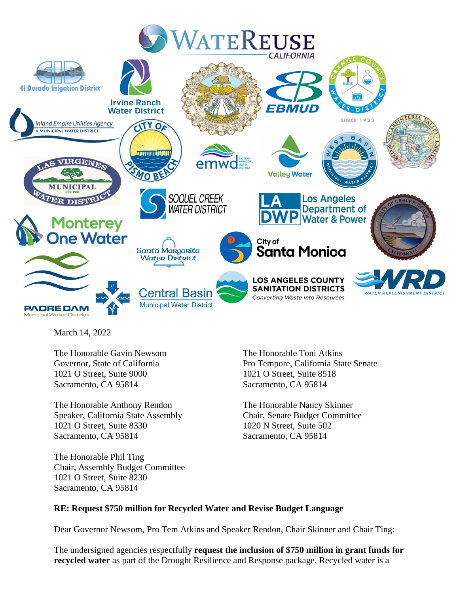

March 14, 2022

The Honorable Gavin Newsom The Honorable Toni Atkins 1021 O Street, Suite 9000 1021 O Street, Suite 8518 Sacramento, CA 95814 Sacramento, CA 95814

The Honorable Anthony Rendon The Honorable Nancy Skinner Speaker, California State Assembly Chair, Senate Budget Committee 1021 O Street, Suite 8330 1020 N Street, Suite 502 Sacramento, CA 95814 Sacramento, CA 95814

The Honorable Phil Ting Chair, Assembly Budget Committee 1021 O Street, Suite 8230 Sacramento, CA 95814

Governor, State of California Pro Tempore, California State Senate

### **RE: Request \$750 million for Recycled Water and Revise Budget Language**

Dear Governor Newsom, Pro Tem Atkins and Speaker Rendon, Chair Skinner and Chair Ting:

The undersigned agencies respectfully **request the inclusion of \$750 million in grant funds for recycled water** as part of the Drought Resilience and Response package. Recycled water is a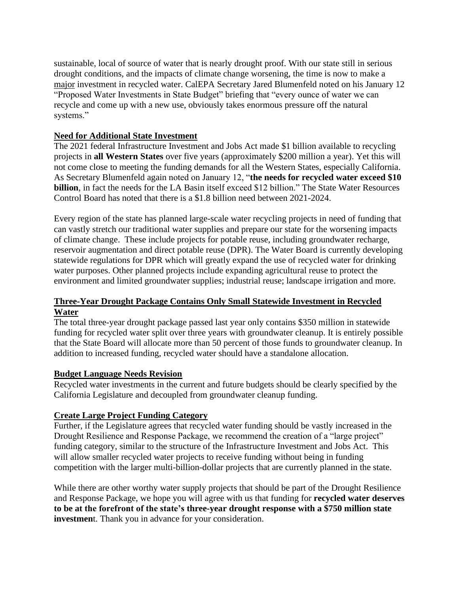sustainable, local of source of water that is nearly drought proof. With our state still in serious drought conditions, and the impacts of climate change worsening, the time is now to make a major investment in recycled water. CalEPA Secretary Jared Blumenfeld noted on his January 12 "Proposed Water Investments in State Budget" briefing that "every ounce of water we can recycle and come up with a new use, obviously takes enormous pressure off the natural systems."

## **Need for Additional State Investment**

The 2021 federal Infrastructure Investment and Jobs Act made \$1 billion available to recycling projects in **all Western States** over five years (approximately \$200 million a year). Yet this will not come close to meeting the funding demands for all the Western States, especially California. As Secretary Blumenfeld again noted on January 12, "**the needs for recycled water exceed \$10 billion**, in fact the needs for the LA Basin itself exceed \$12 billion." The State Water Resources Control Board has noted that there is a \$1.8 billion need between 2021-2024.

Every region of the state has planned large-scale water recycling projects in need of funding that can vastly stretch our traditional water supplies and prepare our state for the worsening impacts of climate change. These include projects for potable reuse, including groundwater recharge, reservoir augmentation and direct potable reuse (DPR). The Water Board is currently developing statewide regulations for DPR which will greatly expand the use of recycled water for drinking water purposes. Other planned projects include expanding agricultural reuse to protect the environment and limited groundwater supplies; industrial reuse; landscape irrigation and more.

# **Three-Year Drought Package Contains Only Small Statewide Investment in Recycled Water**

The total three-year drought package passed last year only contains \$350 million in statewide funding for recycled water split over three years with groundwater cleanup. It is entirely possible that the State Board will allocate more than 50 percent of those funds to groundwater cleanup. In addition to increased funding, recycled water should have a standalone allocation.

# **Budget Language Needs Revision**

Recycled water investments in the current and future budgets should be clearly specified by the California Legislature and decoupled from groundwater cleanup funding.

### **Create Large Project Funding Category**

Further, if the Legislature agrees that recycled water funding should be vastly increased in the Drought Resilience and Response Package, we recommend the creation of a "large project" funding category, similar to the structure of the Infrastructure Investment and Jobs Act. This will allow smaller recycled water projects to receive funding without being in funding competition with the larger multi-billion-dollar projects that are currently planned in the state.

While there are other worthy water supply projects that should be part of the Drought Resilience and Response Package, we hope you will agree with us that funding for **recycled water deserves to be at the forefront of the state's three-year drought response with a \$750 million state investmen**t. Thank you in advance for your consideration.